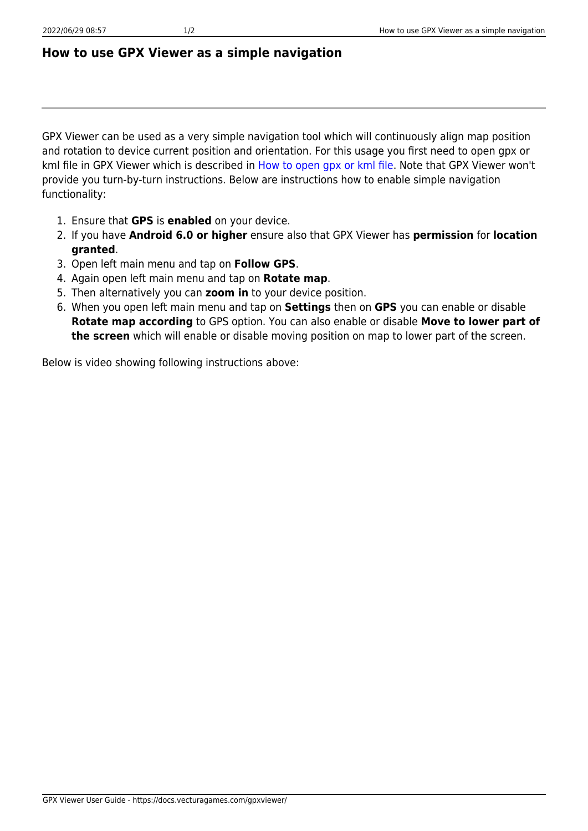## **How to use GPX Viewer as a simple navigation**

GPX Viewer can be used as a very simple navigation tool which will continuously align map position and rotation to device current position and orientation. For this usage you first need to open gpx or kml file in GPX Viewer which is described in [How to open gpx or kml file](https://docs.vecturagames.com/gpxviewer/doku.php?id=docs:faq:how_to:open_file). Note that GPX Viewer won't provide you turn-by-turn instructions. Below are instructions how to enable simple navigation functionality:

- 1. Ensure that **GPS** is **enabled** on your device.
- 2. If you have **Android 6.0 or higher** ensure also that GPX Viewer has **permission** for **location granted**.
- 3. Open left main menu and tap on **Follow GPS**.
- 4. Again open left main menu and tap on **Rotate map**.
- 5. Then alternatively you can **zoom in** to your device position.
- 6. When you open left main menu and tap on **Settings** then on **GPS** you can enable or disable **Rotate map according** to GPS option. You can also enable or disable **Move to lower part of the screen** which will enable or disable moving position on map to lower part of the screen.

Below is video showing following instructions above: